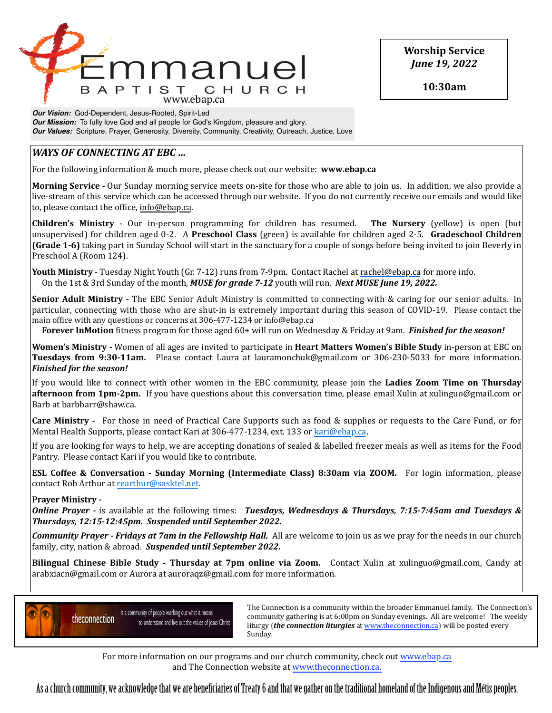

**Worship Service** *June 19, 2022*

**10:30am**

*Our Vision:* God-Dependent, Jesus-Rooted, Spirit-Led *Our Mission:* To fully love God and all people for God's Kingdom, pleasure and glory. *Our Values:* Scripture, Prayer, Generosity, Diversity, Community, Creativity, Outreach, Justice, Love

# *WAYS* OF CONNECTING AT EBC ...

For the following information & much more, please check out our website: **www.ebap.ca** 

**Morning Service** - Our Sunday morning service meets on-site for those who are able to join us. In addition, we also provide a live-stream of this service which can be accessed through our website. If you do not currently receive our emails and would like to, please contact the office, info@ebap.ca.

**Children's Ministry** - Our in-person programming for children has resumed. The Nursery (yellow) is open (but unsupervised) for children aged 0-2. A **Preschool Class** (green) is available for children aged 2-5. **Gradeschool Children (Grade 1-6)** taking part in Sunday School will start in the sanctuary for a couple of songs before being invited to join Beverly in Preschool A (Room 124).

**Youth Ministry** - Tuesday Night Youth (Gr. 7-12) runs from 7-9pm. Contact Rachel at [rachel@ebap.ca](mailto:rachel@ebap.ca) for more info. On the 1st & 3rd Sunday of the month, *MUSE for grade 7-12* youth will run. *Next MUSE June 19, 2022.* 

**Senior Adult Ministry** - The EBC Senior Adult Ministry is committed to connecting with & caring for our senior adults. In particular, connecting with those who are shut-in is extremely important during this season of COVID-19. Please contact the main office with any questions or concerns at 306-477-1234 or info@ebap.ca

**Forever InMotion** fitness program for those aged 60+ will run on Wednesday & Friday at 9am. *Finished for the season!* 

**Women's Ministry** - Women of all ages are invited to participate in **Heart Matters Women's Bible Study** in-person at EBC on **Tuesdays from 9:30-11am.** Please contact Laura at lauramonchuk@gmail.com or 306-230-5033 for more information. *Finished for the season!* 

If you would like to connect with other women in the EBC community, please join the **Ladies Zoom Time on Thursday afternoon from 1pm-2pm.** If you have questions about this conversation time, please email Xulin at xulinguo@gmail.com or Barb at barbbarr@shaw.ca.

**Care Ministry** - For those in need of Practical Care Supports such as food & supplies or requests to the Care Fund, or for Mental Health Supports, please contact Kari at 306-477-1234, ext. 133 or [kari@ebap.ca.](mailto:kari@ebap.ca)

If you are looking for ways to help, we are accepting donations of sealed & labelled freezer meals as well as items for the Food Pantry. Please contact Kari if you would like to contribute.

**ESL Coffee & Conversation - Sunday Morning (Intermediate Class) 8:30am via ZOOM.** For login information, please contact Rob Arthur at [rearthur@sasktel.net.](mailto:rearthur@sasktel.net)

## **Prayer Ministry -**

*Online Prayer* - is available at the following times: *Tuesdays, Wednesdays & Thursdays, 7:15-7:45am and Tuesdays & Thursdays, 12:15-12:45pm. Suspended until September 2022.* 

**Community Prayer** - Fridays at 7am in the Fellowship Hall. All are welcome to join us as we pray for the needs in our church family, city, nation & abroad. Suspended until September 2022.

**Bilingual Chinese Bible Study - Thursday at 7pm online via Zoom.** Contact Xulin at xulinguo@gmail.com, Candy at arabxiacn@gmail.com or Aurora at auroraqz@gmail.com for more information.



 $\sum_{n=1}^{\infty}$  The Connection is a community within the broader Emmanuel family. The Connection's community gathering is at 6:00pm on Sunday evenings. All are welcome! The weekly liturgy (*the connection liturgies* at www.theconnection.ca) will be posted every Sunday. The contract of the contract of the contract of the contract of the contract of the contract of the contract of the contract of the contract of the contract of the contract of the contract of the contract of the co

For more information on our programs and our church community, check out www.ebap.ca and The Connection website at [www.theconnection.ca](http://www.theconnection.ca).

As a church community, we acknowledge that we are benefciaries of Treaty 6 and that we gather on the traditional homeland of the Indigenous and Métis peoples.